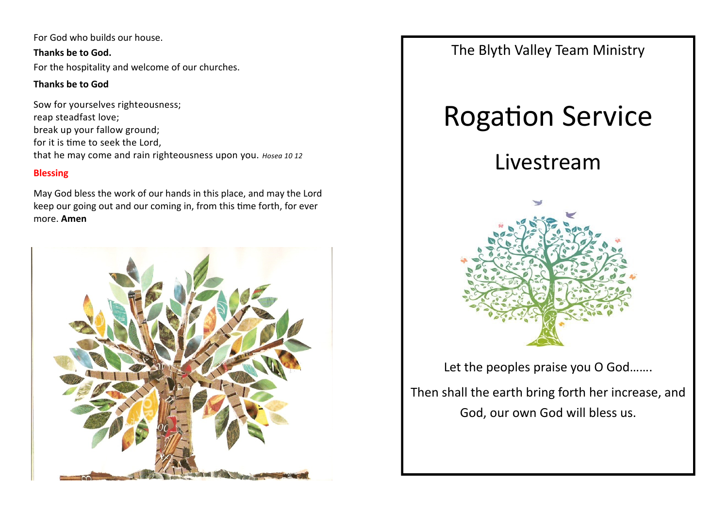For God who builds our house.

**Thanks be to God.** For the hospitality and welcome of our churches.

# **Thanks be to God**

Sow for yourselves righteousness; reap steadfast love; break up your fallow ground; for it is time to seek the Lord, that he may come and rain righteousness upon you. *Hosea 10 12*

# **Blessing**

May God bless the work of our hands in this place, and may the Lord keep our going out and our coming in, from this time forth, for ever more. **Amen**



The Blyth Valley Team Ministry

# Rogation Service

# Livestream



Let the peoples praise you O God.......

Then shall the earth bring forth her increase, and God, our own God will bless us.